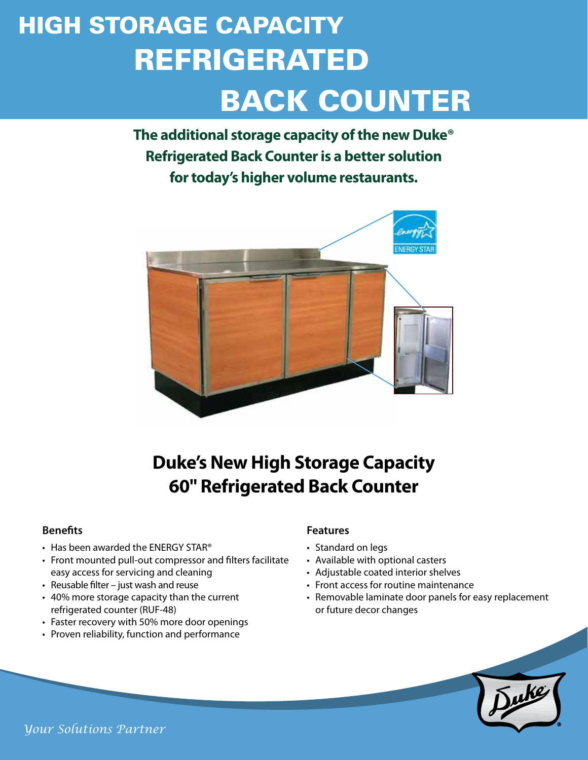# REFRIGERATED BACK COUNTER HIGH STORAGE CAPACITY

**The additional storage capacity of the new Duke® Refrigerated Back Counter is a better solution for today's higher volume restaurants.**



## **Duke's New High Storage Capacity 60" Refrigerated Back Counter**

#### **Benefits**

- Has been awarded the ENERGY STAR®
- Front mounted pull-out compressor and filters facilitate easy access for servicing and cleaning
- • Reusable filter just wash and reuse
- • 40% more storage capacity than the current refrigerated counter (RUF-48)
- Faster recovery with 50% more door openings
- Proven reliability, function and performance

#### **Features**

- Standard on legs
- • Available with optional casters
- Adjustable coated interior shelves
- Front access for routine maintenance
- Removable laminate door panels for easy replacement or future decor changes



*Your Solutions Partner*